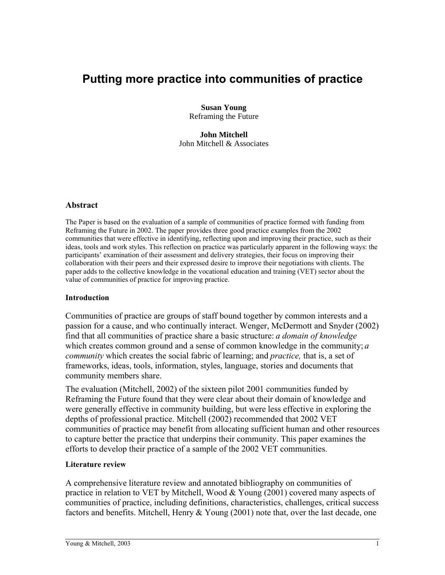# **Putting more practice into communities of practice**

**Susan Young** Reframing the Future

**John Mitchell** John Mitchell & Associates

#### **Abstract**

The Paper is based on the evaluation of a sample of communities of practice formed with funding from Reframing the Future in 2002. The paper provides three good practice examples from the 2002 communities that were effective in identifying, reflecting upon and improving their practice, such as their ideas, tools and work styles. This reflection on practice was particularly apparent in the following ways: the participants' examination of their assessment and delivery strategies, their focus on improving their collaboration with their peers and their expressed desire to improve their negotiations with clients. The paper adds to the collective knowledge in the vocational education and training (VET) sector about the value of communities of practice for improving practice.

#### **Introduction**

Communities of practice are groups of staff bound together by common interests and a passion for a cause, and who continually interact. Wenger, McDermott and Snyder (2002) find that all communities of practice share a basic structure: *a domain of knowledge* which creates common ground and a sense of common knowledge in the community; *a community* which creates the social fabric of learning; and *practice,* that is, a set of frameworks, ideas, tools, information, styles, language, stories and documents that community members share.

The evaluation (Mitchell, 2002) of the sixteen pilot 2001 communities funded by Reframing the Future found that they were clear about their domain of knowledge and were generally effective in community building, but were less effective in exploring the depths of professional practice. Mitchell (2002) recommended that 2002 VET communities of practice may benefit from allocating sufficient human and other resources to capture better the practice that underpins their community. This paper examines the efforts to develop their practice of a sample of the 2002 VET communities.

#### **Literature review**

A comprehensive literature review and annotated bibliography on communities of practice in relation to VET by Mitchell, Wood & Young (2001) covered many aspects of communities of practice, including definitions, characteristics, challenges, critical success factors and benefits. Mitchell, Henry & Young (2001) note that, over the last decade, one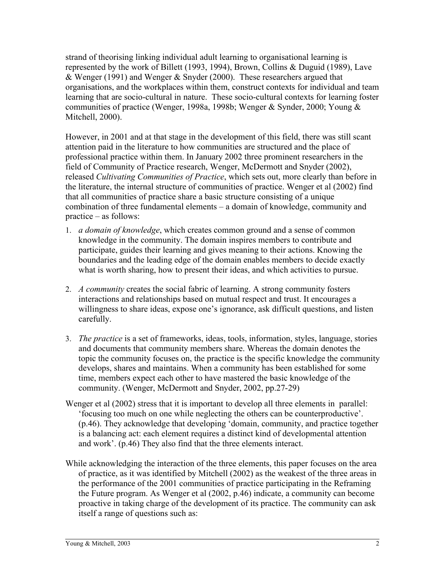strand of theorising linking individual adult learning to organisational learning is represented by the work of Billett (1993, 1994), Brown, Collins & Duguid (1989), Lave & Wenger (1991) and Wenger & Snyder (2000). These researchers argued that organisations, and the workplaces within them, construct contexts for individual and team learning that are socio-cultural in nature. These socio-cultural contexts for learning foster communities of practice (Wenger, 1998a, 1998b; Wenger & Synder, 2000; Young & Mitchell, 2000).

However, in 2001 and at that stage in the development of this field, there was still scant attention paid in the literature to how communities are structured and the place of professional practice within them. In January 2002 three prominent researchers in the field of Community of Practice research, Wenger, McDermott and Snyder (2002), released *Cultivating Communities of Practice*, which sets out, more clearly than before in the literature, the internal structure of communities of practice. Wenger et al (2002) find that all communities of practice share a basic structure consisting of a unique combination of three fundamental elements – a domain of knowledge, community and practice – as follows:

- 1. *a domain of knowledge*, which creates common ground and a sense of common knowledge in the community. The domain inspires members to contribute and participate, guides their learning and gives meaning to their actions. Knowing the boundaries and the leading edge of the domain enables members to decide exactly what is worth sharing, how to present their ideas, and which activities to pursue.
- 2. *A community* creates the social fabric of learning. A strong community fosters interactions and relationships based on mutual respect and trust. It encourages a willingness to share ideas, expose one's ignorance, ask difficult questions, and listen carefully.
- 3. *The practice* is a set of frameworks, ideas, tools, information, styles, language, stories and documents that community members share. Whereas the domain denotes the topic the community focuses on, the practice is the specific knowledge the community develops, shares and maintains. When a community has been established for some time, members expect each other to have mastered the basic knowledge of the community. (Wenger, McDermott and Snyder, 2002, pp.27-29)
- Wenger et al (2002) stress that it is important to develop all three elements in parallel: 'focusing too much on one while neglecting the others can be counterproductive'. (p.46). They acknowledge that developing 'domain, community, and practice together is a balancing act: each element requires a distinct kind of developmental attention and work'. (p.46) They also find that the three elements interact.
- While acknowledging the interaction of the three elements, this paper focuses on the area of practice, as it was identified by Mitchell (2002) as the weakest of the three areas in the performance of the 2001 communities of practice participating in the Reframing the Future program. As Wenger et al (2002, p.46) indicate, a community can become proactive in taking charge of the development of its practice. The community can ask itself a range of questions such as: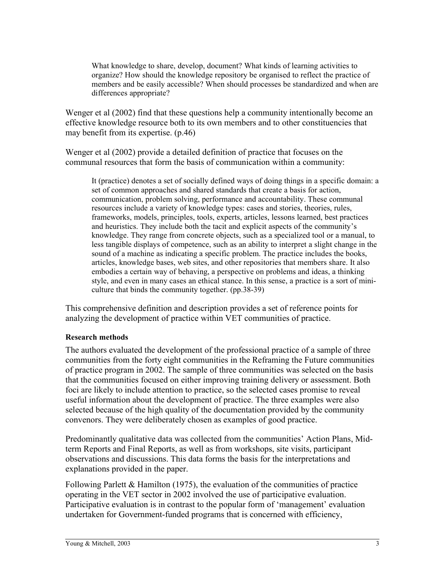What knowledge to share, develop, document? What kinds of learning activities to organize? How should the knowledge repository be organised to reflect the practice of members and be easily accessible? When should processes be standardized and when are differences appropriate?

Wenger et al (2002) find that these questions help a community intentionally become an effective knowledge resource both to its own members and to other constituencies that may benefit from its expertise. (p.46)

Wenger et al (2002) provide a detailed definition of practice that focuses on the communal resources that form the basis of communication within a community:

It (practice) denotes a set of socially defined ways of doing things in a specific domain: a set of common approaches and shared standards that create a basis for action, communication, problem solving, performance and accountability. These communal resources include a variety of knowledge types: cases and stories, theories, rules, frameworks, models, principles, tools, experts, articles, lessons learned, best practices and heuristics. They include both the tacit and explicit aspects of the community's knowledge. They range from concrete objects, such as a specialized tool or a manual, to less tangible displays of competence, such as an ability to interpret a slight change in the sound of a machine as indicating a specific problem. The practice includes the books, articles, knowledge bases, web sites, and other repositories that members share. It also embodies a certain way of behaving, a perspective on problems and ideas, a thinking style, and even in many cases an ethical stance. In this sense, a practice is a sort of miniculture that binds the community together. (pp.38-39)

This comprehensive definition and description provides a set of reference points for analyzing the development of practice within VET communities of practice.

#### **Research methods**

The authors evaluated the development of the professional practice of a sample of three communities from the forty eight communities in the Reframing the Future communities of practice program in 2002. The sample of three communities was selected on the basis that the communities focused on either improving training delivery or assessment. Both foci are likely to include attention to practice, so the selected cases promise to reveal useful information about the development of practice. The three examples were also selected because of the high quality of the documentation provided by the community convenors. They were deliberately chosen as examples of good practice.

Predominantly qualitative data was collected from the communities' Action Plans, Midterm Reports and Final Reports, as well as from workshops, site visits, participant observations and discussions. This data forms the basis for the interpretations and explanations provided in the paper.

Following Parlett & Hamilton (1975), the evaluation of the communities of practice operating in the VET sector in 2002 involved the use of participative evaluation. Participative evaluation is in contrast to the popular form of 'management' evaluation undertaken for Government-funded programs that is concerned with efficiency,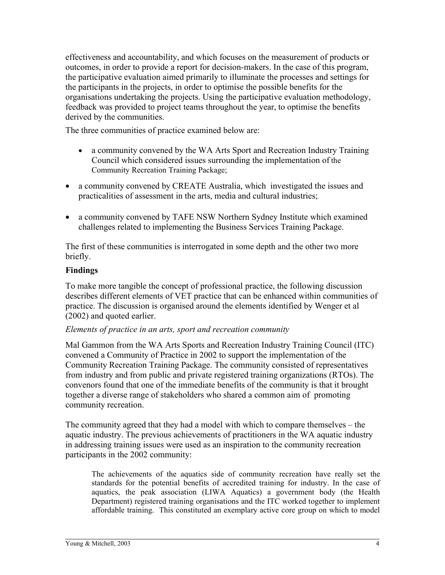effectiveness and accountability, and which focuses on the measurement of products or outcomes, in order to provide a report for decision-makers. In the case of this program, the participative evaluation aimed primarily to illuminate the processes and settings for the participants in the projects, in order to optimise the possible benefits for the organisations undertaking the projects. Using the participative evaluation methodology, feedback was provided to project teams throughout the year, to optimise the benefits derived by the communities.

The three communities of practice examined below are:

- a community convened by the WA Arts Sport and Recreation Industry Training Council which considered issues surrounding the implementation of the Community Recreation Training Package;
- a community convened by CREATE Australia, which investigated the issues and practicalities of assessment in the arts, media and cultural industries;
- a community convened by TAFE NSW Northern Sydney Institute which examined challenges related to implementing the Business Services Training Package.

The first of these communities is interrogated in some depth and the other two more briefly.

# **Findings**

To make more tangible the concept of professional practice, the following discussion describes different elements of VET practice that can be enhanced within communities of practice. The discussion is organised around the elements identified by Wenger et al (2002) and quoted earlier.

## *Elements of practice in an arts, sport and recreation community*

Mal Gammon from the WA Arts Sports and Recreation Industry Training Council (ITC) convened a Community of Practice in 2002 to support the implementation of the Community Recreation Training Package. The community consisted of representatives from industry and from public and private registered training organizations (RTOs). The convenors found that one of the immediate benefits of the community is that it brought together a diverse range of stakeholders who shared a common aim of promoting community recreation.

The community agreed that they had a model with which to compare themselves – the aquatic industry. The previous achievements of practitioners in the WA aquatic industry in addressing training issues were used as an inspiration to the community recreation participants in the 2002 community:

The achievements of the aquatics side of community recreation have really set the standards for the potential benefits of accredited training for industry. In the case of aquatics, the peak association (LIWA Aquatics) a government body (the Health Department) registered training organisations and the ITC worked together to implement affordable training. This constituted an exemplary active core group on which to model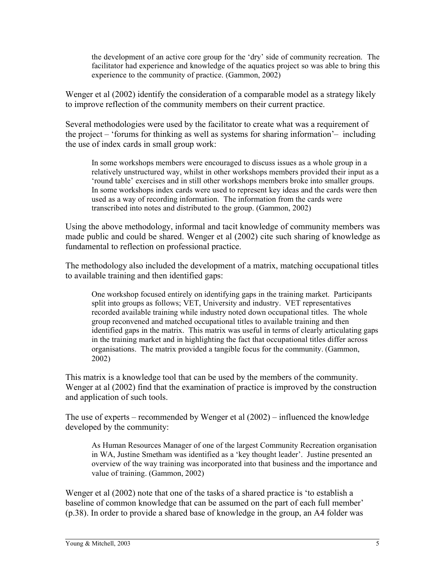the development of an active core group for the 'dry' side of community recreation. The facilitator had experience and knowledge of the aquatics project so was able to bring this experience to the community of practice. (Gammon, 2002)

Wenger et al (2002) identify the consideration of a comparable model as a strategy likely to improve reflection of the community members on their current practice.

Several methodologies were used by the facilitator to create what was a requirement of the project – 'forums for thinking as well as systems for sharing information'– including the use of index cards in small group work:

In some workshops members were encouraged to discuss issues as a whole group in a relatively unstructured way, whilst in other workshops members provided their input as a 'round table' exercises and in still other workshops members broke into smaller groups. In some workshops index cards were used to represent key ideas and the cards were then used as a way of recording information. The information from the cards were transcribed into notes and distributed to the group. (Gammon, 2002)

Using the above methodology, informal and tacit knowledge of community members was made public and could be shared. Wenger et al (2002) cite such sharing of knowledge as fundamental to reflection on professional practice.

The methodology also included the development of a matrix, matching occupational titles to available training and then identified gaps:

One workshop focused entirely on identifying gaps in the training market. Participants split into groups as follows; VET, University and industry. VET representatives recorded available training while industry noted down occupational titles. The whole group reconvened and matched occupational titles to available training and then identified gaps in the matrix. This matrix was useful in terms of clearly articulating gaps in the training market and in highlighting the fact that occupational titles differ across organisations. The matrix provided a tangible focus for the community. (Gammon, 2002)

This matrix is a knowledge tool that can be used by the members of the community. Wenger at al (2002) find that the examination of practice is improved by the construction and application of such tools.

The use of experts – recommended by Wenger et al (2002) – influenced the knowledge developed by the community:

As Human Resources Manager of one of the largest Community Recreation organisation in WA, Justine Smetham was identified as a 'key thought leader'. Justine presented an overview of the way training was incorporated into that business and the importance and value of training. (Gammon, 2002)

Wenger et al (2002) note that one of the tasks of a shared practice is 'to establish a baseline of common knowledge that can be assumed on the part of each full member' (p.38). In order to provide a shared base of knowledge in the group, an A4 folder was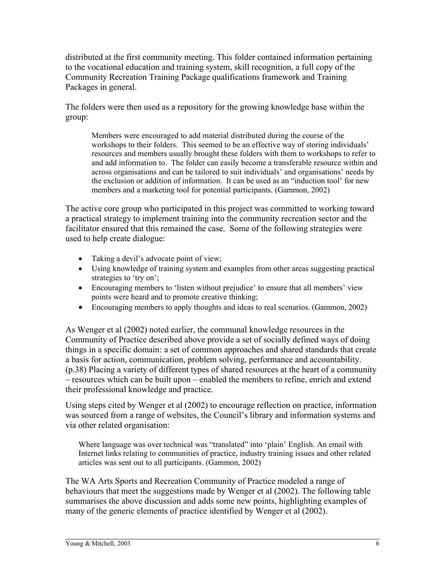distributed at the first community meeting. This folder contained information pertaining to the vocational education and training system, skill recognition, a full copy of the Community Recreation Training Package qualifications framework and Training Packages in general.

The folders were then used as a repository for the growing knowledge base within the group:

Members were encouraged to add material distributed during the course of the workshops to their folders. This seemed to be an effective way of storing individuals' resources and members usually brought these folders with them to workshops to refer to and add information to. The folder can easily become a transferable resource within and across organisations and can be tailored to suit individuals' and organisations' needs by the exclusion or addition of information. It can be used as an "induction tool' for new members and a marketing tool for potential participants. (Gammon, 2002)

The active core group who participated in this project was committed to working toward a practical strategy to implement training into the community recreation sector and the facilitator ensured that this remained the case. Some of the following strategies were used to help create dialogue:

- Taking a devil's advocate point of view;
- Using knowledge of training system and examples from other areas suggesting practical strategies to 'try on';
- Encouraging members to 'listen without prejudice' to ensure that all members' view points were heard and to promote creative thinking;
- Encouraging members to apply thoughts and ideas to real scenarios. (Gammon, 2002)

As Wenger et al (2002) noted earlier, the communal knowledge resources in the Community of Practice described above provide a set of socially defined ways of doing things in a specific domain: a set of common approaches and shared standards that create a basis for action, communication, problem solving, performance and accountability. (p.38) Placing a variety of different types of shared resources at the heart of a community – resources which can be built upon – enabled the members to refine, enrich and extend their professional knowledge and practice.

Using steps cited by Wenger et al (2002) to encourage reflection on practice, information was sourced from a range of websites, the Council's library and information systems and via other related organisation:

Where language was over technical was "translated" into 'plain' English. An email with Internet links relating to communities of practice, industry training issues and other related articles was sent out to all participants. (Gammon, 2002)

The WA Arts Sports and Recreation Community of Practice modeled a range of behaviours that meet the suggestions made by Wenger et al (2002). The following table summarises the above discussion and adds some new points, highlighting examples of many of the generic elements of practice identified by Wenger et al (2002).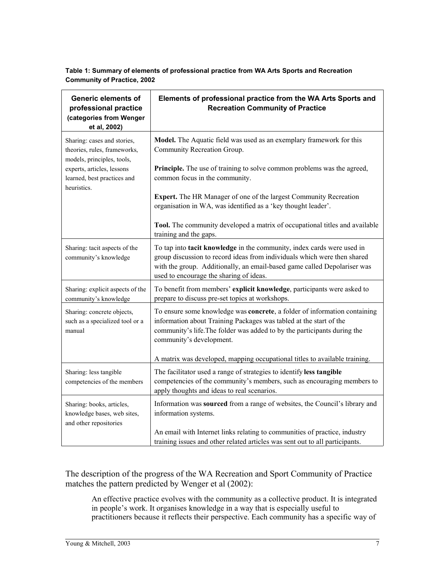**Table 1: Summary of elements of professional practice from WA Arts Sports and Recreation Community of Practice, 2002**

| <b>Generic elements of</b><br>professional practice<br>(categories from Wenger<br>et al, 2002)                                                                        | Elements of professional practice from the WA Arts Sports and<br><b>Recreation Community of Practice</b>                                                                                                                                                                                                                                               |
|-----------------------------------------------------------------------------------------------------------------------------------------------------------------------|--------------------------------------------------------------------------------------------------------------------------------------------------------------------------------------------------------------------------------------------------------------------------------------------------------------------------------------------------------|
| Sharing: cases and stories,<br>theories, rules, frameworks,<br>models, principles, tools,<br>experts, articles, lessons<br>learned, best practices and<br>heuristics. | Model. The Aquatic field was used as an exemplary framework for this<br>Community Recreation Group.<br>Principle. The use of training to solve common problems was the agreed,<br>common focus in the community.<br>Expert. The HR Manager of one of the largest Community Recreation<br>organisation in WA, was identified as a 'key thought leader'. |
|                                                                                                                                                                       | Tool. The community developed a matrix of occupational titles and available<br>training and the gaps.                                                                                                                                                                                                                                                  |
| Sharing: tacit aspects of the<br>community's knowledge                                                                                                                | To tap into tacit knowledge in the community, index cards were used in<br>group discussion to record ideas from individuals which were then shared<br>with the group. Additionally, an email-based game called Depolariser was<br>used to encourage the sharing of ideas.                                                                              |
| Sharing: explicit aspects of the<br>community's knowledge                                                                                                             | To benefit from members' explicit knowledge, participants were asked to<br>prepare to discuss pre-set topics at workshops.                                                                                                                                                                                                                             |
| Sharing: concrete objects,<br>such as a specialized tool or a<br>manual                                                                                               | To ensure some knowledge was concrete, a folder of information containing<br>information about Training Packages was tabled at the start of the<br>community's life. The folder was added to by the participants during the<br>community's development.<br>A matrix was developed, mapping occupational titles to available training.                  |
| Sharing: less tangible<br>competencies of the members                                                                                                                 | The facilitator used a range of strategies to identify less tangible<br>competencies of the community's members, such as encouraging members to<br>apply thoughts and ideas to real scenarios.                                                                                                                                                         |
| Sharing: books, articles,<br>knowledge bases, web sites,<br>and other repositories                                                                                    | Information was sourced from a range of websites, the Council's library and<br>information systems.<br>An email with Internet links relating to communities of practice, industry<br>training issues and other related articles was sent out to all participants.                                                                                      |

The description of the progress of the WA Recreation and Sport Community of Practice matches the pattern predicted by Wenger et al (2002):

An effective practice evolves with the community as a collective product. It is integrated in people's work. It organises knowledge in a way that is especially useful to practitioners because it reflects their perspective. Each community has a specific way of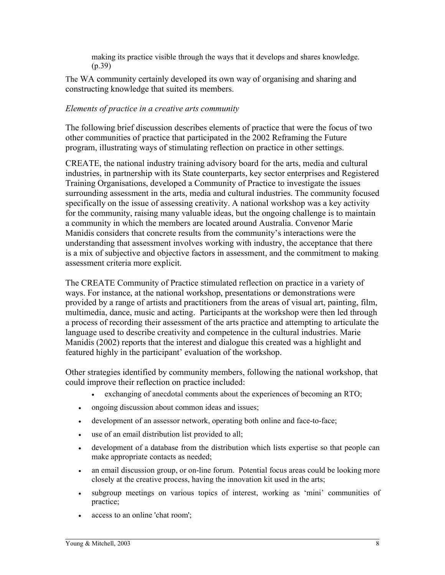making its practice visible through the ways that it develops and shares knowledge. (p.39)

The WA community certainly developed its own way of organising and sharing and constructing knowledge that suited its members.

# *Elements of practice in a creative arts community*

The following brief discussion describes elements of practice that were the focus of two other communities of practice that participated in the 2002 Reframing the Future program, illustrating ways of stimulating reflection on practice in other settings.

CREATE, the national industry training advisory board for the arts, media and cultural industries, in partnership with its State counterparts, key sector enterprises and Registered Training Organisations, developed a Community of Practice to investigate the issues surrounding assessment in the arts, media and cultural industries. The community focused specifically on the issue of assessing creativity. A national workshop was a key activity for the community, raising many valuable ideas, but the ongoing challenge is to maintain a community in which the members are located around Australia. Convenor Marie Manidis considers that concrete results from the community's interactions were the understanding that assessment involves working with industry, the acceptance that there is a mix of subjective and objective factors in assessment, and the commitment to making assessment criteria more explicit.

The CREATE Community of Practice stimulated reflection on practice in a variety of ways. For instance, at the national workshop, presentations or demonstrations were provided by a range of artists and practitioners from the areas of visual art, painting, film, multimedia, dance, music and acting. Participants at the workshop were then led through a process of recording their assessment of the arts practice and attempting to articulate the language used to describe creativity and competence in the cultural industries. Marie Manidis (2002) reports that the interest and dialogue this created was a highlight and featured highly in the participant' evaluation of the workshop.

Other strategies identified by community members, following the national workshop, that could improve their reflection on practice included:

- exchanging of anecdotal comments about the experiences of becoming an RTO;
- ongoing discussion about common ideas and issues;
- development of an assessor network, operating both online and face-to-face;
- use of an email distribution list provided to all;
- development of a database from the distribution which lists expertise so that people can make appropriate contacts as needed;
- an email discussion group, or on-line forum. Potential focus areas could be looking more closely at the creative process, having the innovation kit used in the arts;
- subgroup meetings on various topics of interest, working as 'mini' communities of practice;
- access to an online 'chat room';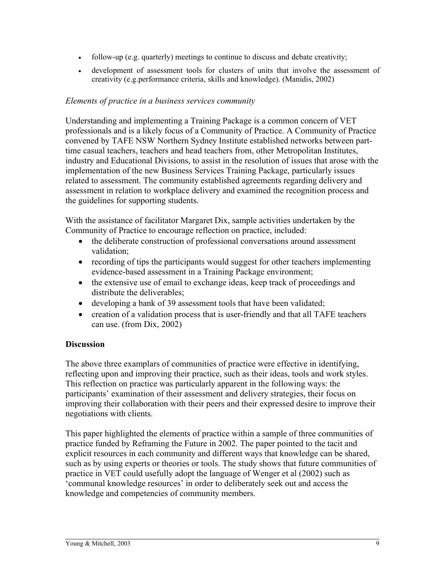- follow-up (e.g. quarterly) meetings to continue to discuss and debate creativity;
- development of assessment tools for clusters of units that involve the assessment of creativity (e.g.performance criteria, skills and knowledge). (Manidis, 2002)

### *Elements of practice in a business services community*

Understanding and implementing a Training Package is a common concern of VET professionals and is a likely focus of a Community of Practice. A Community of Practice convened by TAFE NSW Northern Sydney Institute established networks between parttime casual teachers, teachers and head teachers from, other Metropolitan Institutes, industry and Educational Divisions, to assist in the resolution of issues that arose with the implementation of the new Business Services Training Package, particularly issues related to assessment. The community established agreements regarding delivery and assessment in relation to workplace delivery and examined the recognition process and the guidelines for supporting students.

With the assistance of facilitator Margaret Dix, sample activities undertaken by the Community of Practice to encourage reflection on practice, included:

- the deliberate construction of professional conversations around assessment validation;
- recording of tips the participants would suggest for other teachers implementing evidence-based assessment in a Training Package environment;
- the extensive use of email to exchange ideas, keep track of proceedings and distribute the deliverables;
- developing a bank of 39 assessment tools that have been validated;
- creation of a validation process that is user-friendly and that all TAFE teachers can use. (from Dix, 2002)

## **Discussion**

The above three examplars of communities of practice were effective in identifying, reflecting upon and improving their practice, such as their ideas, tools and work styles. This reflection on practice was particularly apparent in the following ways: the participants' examination of their assessment and delivery strategies, their focus on improving their collaboration with their peers and their expressed desire to improve their negotiations with clients.

This paper highlighted the elements of practice within a sample of three communities of practice funded by Reframing the Future in 2002. The paper pointed to the tacit and explicit resources in each community and different ways that knowledge can be shared, such as by using experts or theories or tools. The study shows that future communities of practice in VET could usefully adopt the language of Wenger et al (2002) such as 'communal knowledge resources' in order to deliberately seek out and access the knowledge and competencies of community members.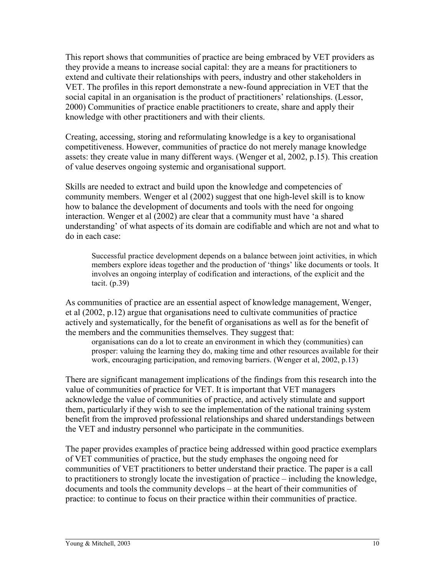This report shows that communities of practice are being embraced by VET providers as they provide a means to increase social capital: they are a means for practitioners to extend and cultivate their relationships with peers, industry and other stakeholders in VET. The profiles in this report demonstrate a new-found appreciation in VET that the social capital in an organisation is the product of practitioners' relationships. (Lessor, 2000) Communities of practice enable practitioners to create, share and apply their knowledge with other practitioners and with their clients.

Creating, accessing, storing and reformulating knowledge is a key to organisational competitiveness. However, communities of practice do not merely manage knowledge assets: they create value in many different ways. (Wenger et al, 2002, p.15). This creation of value deserves ongoing systemic and organisational support.

Skills are needed to extract and build upon the knowledge and competencies of community members. Wenger et al (2002) suggest that one high-level skill is to know how to balance the development of documents and tools with the need for ongoing interaction. Wenger et al (2002) are clear that a community must have 'a shared understanding' of what aspects of its domain are codifiable and which are not and what to do in each case:

Successful practice development depends on a balance between joint activities, in which members explore ideas together and the production of 'things' like documents or tools. It involves an ongoing interplay of codification and interactions, of the explicit and the tacit. (p.39)

As communities of practice are an essential aspect of knowledge management, Wenger, et al (2002, p.12) argue that organisations need to cultivate communities of practice actively and systematically, for the benefit of organisations as well as for the benefit of the members and the communities themselves. They suggest that:

organisations can do a lot to create an environment in which they (communities) can prosper: valuing the learning they do, making time and other resources available for their work, encouraging participation, and removing barriers. (Wenger et al, 2002, p.13)

There are significant management implications of the findings from this research into the value of communities of practice for VET. It is important that VET managers acknowledge the value of communities of practice, and actively stimulate and support them, particularly if they wish to see the implementation of the national training system benefit from the improved professional relationships and shared understandings between the VET and industry personnel who participate in the communities.

The paper provides examples of practice being addressed within good practice exemplars of VET communities of practice, but the study emphases the ongoing need for communities of VET practitioners to better understand their practice. The paper is a call to practitioners to strongly locate the investigation of practice – including the knowledge, documents and tools the community develops – at the heart of their communities of practice: to continue to focus on their practice within their communities of practice.